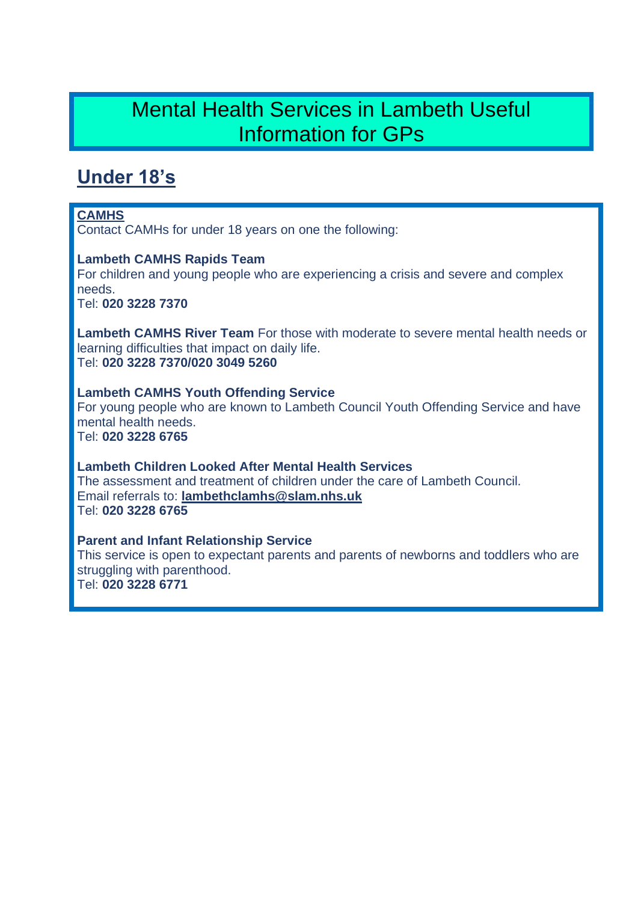# Mental Health Services in Lambeth Useful Information for GPs

# **Under 18's**

### **CAMHS**

Contact CAMHs for under 18 years on one the following:

#### **Lambeth CAMHS Rapids Team**

For children and young people who are experiencing a crisis and severe and complex needs.

Tel: **020 3228 7370**

**Lambeth CAMHS River Team** For those with moderate to severe mental health needs or learning difficulties that impact on daily life. Tel: **020 3228 7370/020 3049 5260**

**Lambeth CAMHS Youth Offending Service** For young people who are known to Lambeth Council Youth Offending Service and have mental health needs. Tel: **020 3228 6765**

**Lambeth Children Looked After Mental Health Services** The assessment and treatment of children under the care of Lambeth Council. Email referrals to: **lambethclamhs@slam.nhs.uk** Tel: **020 3228 6765**

**Parent and Infant Relationship Service**

This service is open to expectant parents and parents of newborns and toddlers who are struggling with parenthood.

Tel: **020 3228 6771**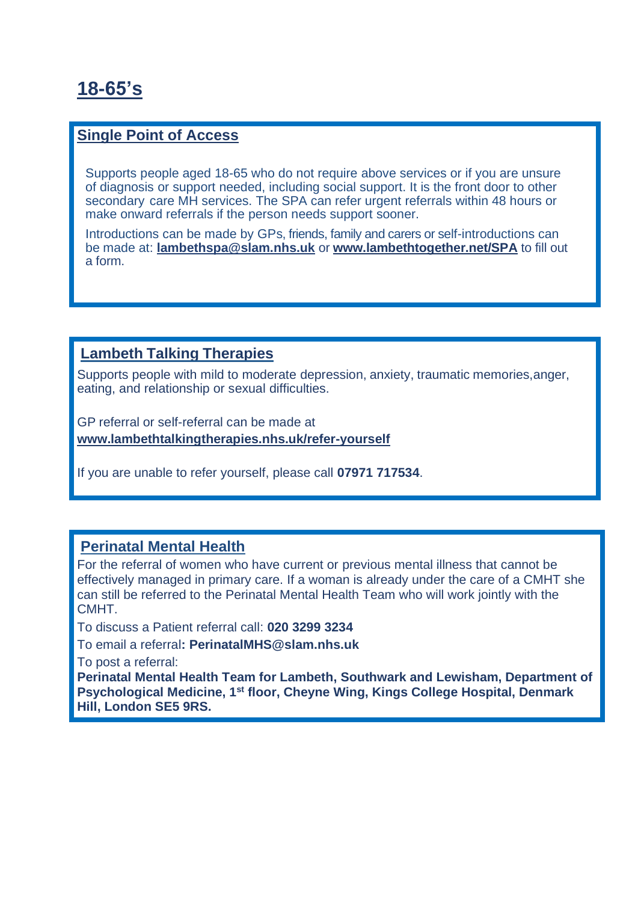# **18-65's**

#### **Single Point of Access**

Supports people aged 18-65 who do not require above services or if you are unsure of diagnosis or support needed, including social support. It is the front door to other secondary care MH services. The SPA can refer urgent referrals within 48 hours or make onward referrals if the person needs support sooner.

Introductions can be made by GPs, friends, family and carers or self-introductions can be made at: **lambethspa@slam.nhs.uk** or **[www.lambethtogether.net/SPA](http://www.lambethtogether.net/SPA)** to fill out a form.

## **Lambeth Talking Therapies**

Supports people with mild to moderate depression, anxiety, traumatic memories,anger, eating, and relationship or sexual difficulties.

GP referral or self-referral can be made at **www.lambethtalkingtherapies.nhs.uk/refer-yourself**

If you are unable to refer yourself, please call **07971 717534**.

### **Perinatal Mental Health**

For the referral of women who have current or previous mental illness that cannot be effectively managed in primary care. If a woman is already under the care of a CMHT she can still be referred to the Perinatal Mental Health Team who will work jointly with the CMHT.

To discuss a Patient referral call: **020 3299 3234**

To email a referral**: PerinatalMHS@slam.nhs.uk**

To post a referral:

**Perinatal Mental Health Team for Lambeth, Southwark and Lewisham, Department of Psychological Medicine, 1st floor, Cheyne Wing, Kings College Hospital, Denmark Hill, London SE5 9RS.**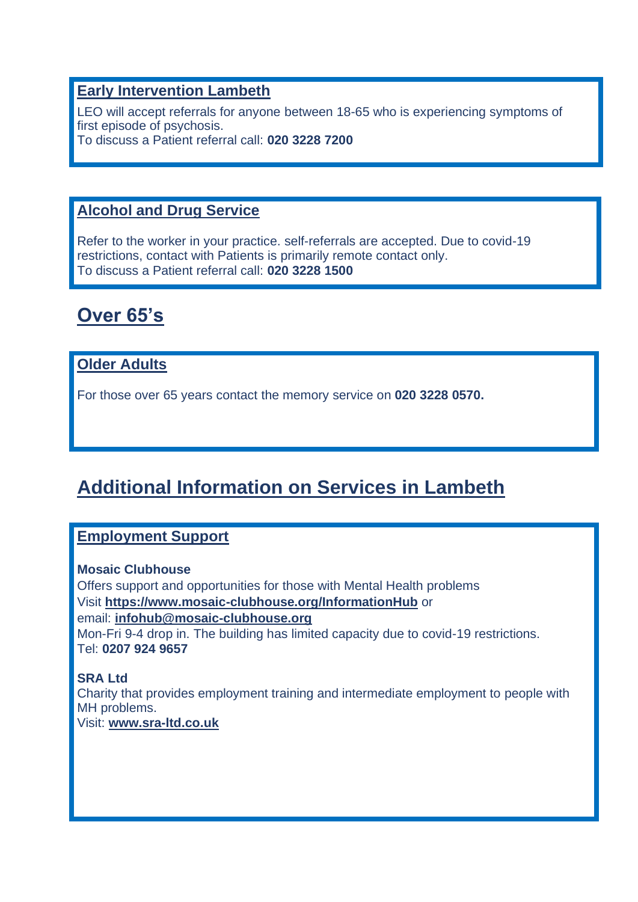## **Early Intervention Lambeth**

LEO will accept referrals for anyone between 18-65 who is experiencing symptoms of first episode of psychosis. To discuss a Patient referral call: **020 3228 7200**

# **Alcohol and Drug Service**

Refer to the worker in your practice. self-referrals are accepted. Due to covid-19 restrictions, contact with Patients is primarily remote contact only. To discuss a Patient referral call: **020 3228 1500**

# **Over 65's**

# **Older Adults**

For those over 65 years contact the memory service on **020 3228 0570.**

# **Additional Information on Services in Lambeth**

# **Employment Support**

#### **Mosaic Clubhouse**

Offers support and opportunities for those with Mental Health problems Visit **<https://www.mosaic-clubhouse.org/InformationHub>** or email: **infohub@mosaic-clubhouse.org** Mon-Fri 9-4 drop in. The building has limited capacity due to covid-19 restrictions. Tel: **0207 924 9657**

#### **SRA Ltd** Charity that provides employment training and intermediate employment to people with MH problems. Visit: **www.sra-ltd.co.uk**